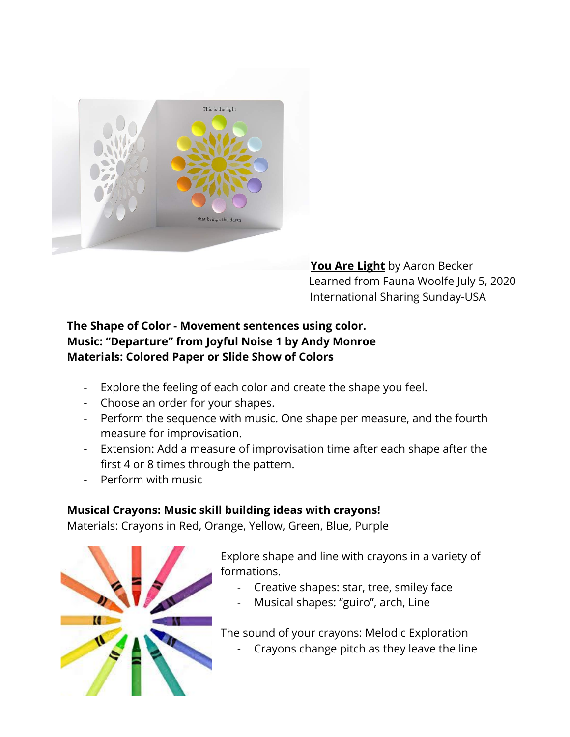

**You Are Light** by Aaron Becker Learned from Fauna Woolfe July 5, 2020 International Sharing Sunday-USA

## **The Shape of Color - Movement sentences using color. Music: "Departure" from Joyful Noise 1 by Andy Monroe Materials: Colored Paper or Slide Show of Colors**

- Explore the feeling of each color and create the shape you feel.
- Choose an order for your shapes.
- Perform the sequence with music. One shape per measure, and the fourth measure for improvisation.
- Extension: Add a measure of improvisation time after each shape after the first 4 or 8 times through the pattern.
- Perform with music

## **Musical Crayons: Music skill building ideas with crayons!**

Materials: Crayons in Red, Orange, Yellow, Green, Blue, Purple



Explore shape and line with crayons in a variety of formations.

- Creative shapes: star, tree, smiley face
- Musical shapes: "guiro", arch, Line

The sound of your crayons: Melodic Exploration

- Crayons change pitch as they leave the line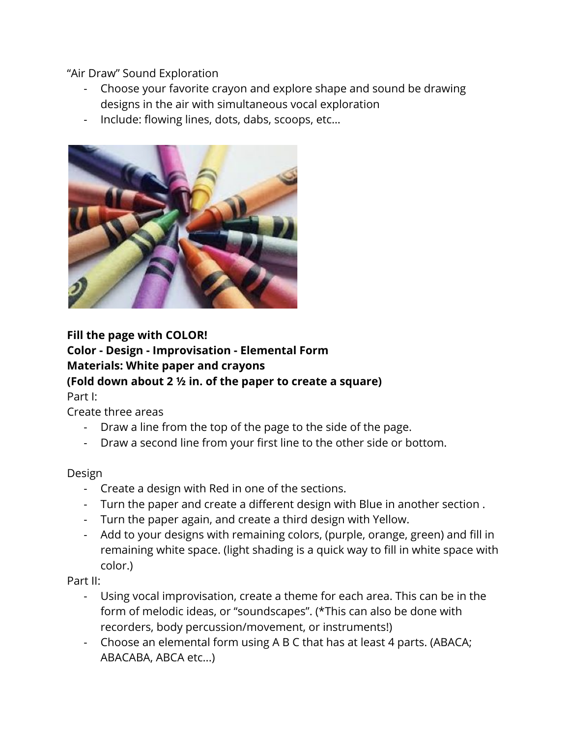"Air Draw" Sound Exploration

- Choose your favorite crayon and explore shape and sound be drawing designs in the air with simultaneous vocal exploration
- Include: flowing lines, dots, dabs, scoops, etc…



## **Fill the page with COLOR! Color - Design - Improvisation - Elemental Form Materials: White paper and crayons (Fold down about 2 ½ in. of the paper to create a square)**

Part I:

Create three areas

- Draw a line from the top of the page to the side of the page.
- Draw a second line from your first line to the other side or bottom.

Design

- Create a design with Red in one of the sections.
- Turn the paper and create a different design with Blue in another section .
- Turn the paper again, and create a third design with Yellow.
- Add to your designs with remaining colors, (purple, orange, green) and fill in remaining white space. (light shading is a quick way to fill in white space with color.)

Part II:

- Using vocal improvisation, create a theme for each area. This can be in the form of melodic ideas, or "soundscapes". (\*This can also be done with recorders, body percussion/movement, or instruments!)
- Choose an elemental form using A B C that has at least 4 parts. (ABACA; ABACABA, ABCA etc...)